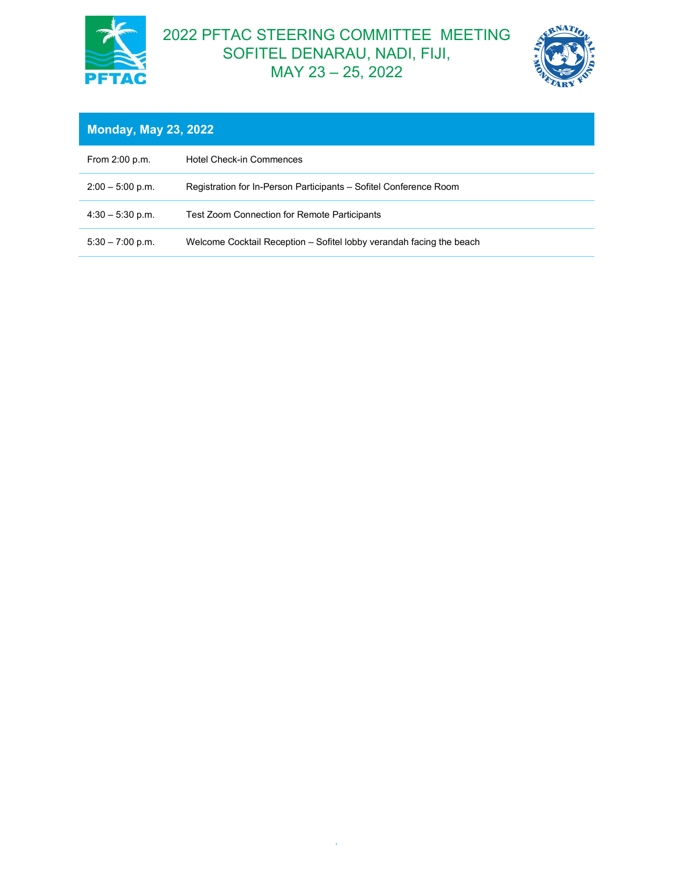

## 2022 PFTAC STEERING COMMITTEE MEETING SOFITEL DENARAU, NADI, FIJI, MAY 23 – 25, 2022



| <b>Monday, May 23, 2022</b> |                                                                      |  |
|-----------------------------|----------------------------------------------------------------------|--|
| From 2:00 p.m.              | <b>Hotel Check-in Commences</b>                                      |  |
| $2:00 - 5:00$ p.m.          | Registration for In-Person Participants – Sofitel Conference Room    |  |
| $4:30 - 5:30$ p.m.          | Test Zoom Connection for Remote Participants                         |  |
| $5:30 - 7:00$ p.m.          | Welcome Cocktail Reception – Sofitel lobby verandah facing the beach |  |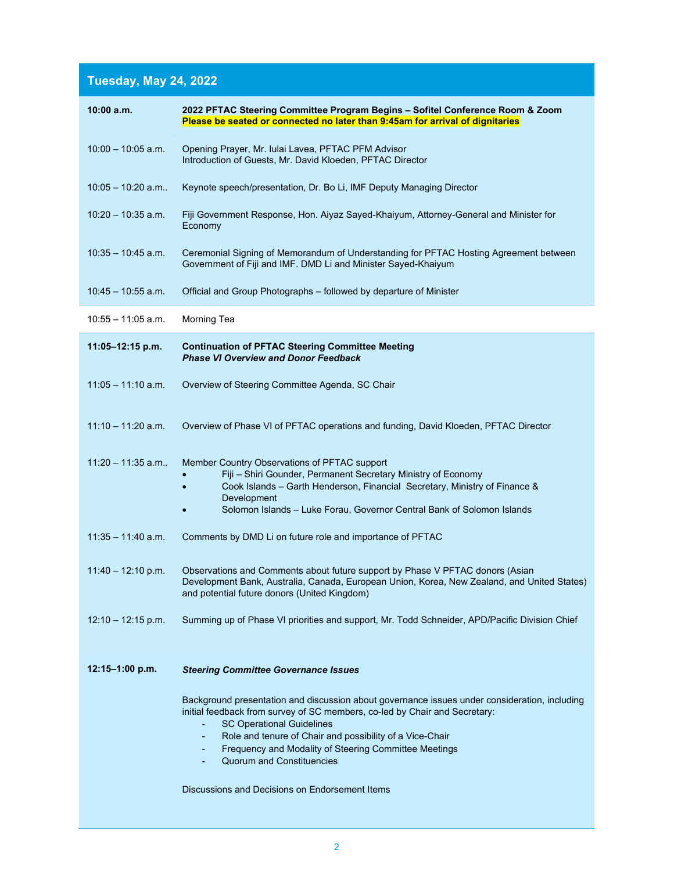## **Tuesday, May 24, 2022**

| Please be seated or connected no later than 9:45am for arrival of dignitaries                                                                                                                                                                                                                                                                                                                                              |
|----------------------------------------------------------------------------------------------------------------------------------------------------------------------------------------------------------------------------------------------------------------------------------------------------------------------------------------------------------------------------------------------------------------------------|
| Opening Prayer, Mr. Iulai Lavea, PFTAC PFM Advisor<br>Introduction of Guests, Mr. David Kloeden, PFTAC Director                                                                                                                                                                                                                                                                                                            |
| Keynote speech/presentation, Dr. Bo Li, IMF Deputy Managing Director                                                                                                                                                                                                                                                                                                                                                       |
| Fiji Government Response, Hon. Aiyaz Sayed-Khaiyum, Attorney-General and Minister for<br>Economy                                                                                                                                                                                                                                                                                                                           |
| Ceremonial Signing of Memorandum of Understanding for PFTAC Hosting Agreement between<br>Government of Fiji and IMF. DMD Li and Minister Sayed-Khaiyum                                                                                                                                                                                                                                                                     |
| Official and Group Photographs - followed by departure of Minister                                                                                                                                                                                                                                                                                                                                                         |
| Morning Tea                                                                                                                                                                                                                                                                                                                                                                                                                |
| <b>Continuation of PFTAC Steering Committee Meeting</b><br><b>Phase VI Overview and Donor Feedback</b>                                                                                                                                                                                                                                                                                                                     |
| Overview of Steering Committee Agenda, SC Chair                                                                                                                                                                                                                                                                                                                                                                            |
| Overview of Phase VI of PFTAC operations and funding, David Kloeden, PFTAC Director                                                                                                                                                                                                                                                                                                                                        |
| Member Country Observations of PFTAC support<br>Fiji - Shiri Gounder, Permanent Secretary Ministry of Economy<br>Cook Islands - Garth Henderson, Financial Secretary, Ministry of Finance &<br>Development<br>Solomon Islands - Luke Forau, Governor Central Bank of Solomon Islands                                                                                                                                       |
| Comments by DMD Li on future role and importance of PFTAC                                                                                                                                                                                                                                                                                                                                                                  |
| Observations and Comments about future support by Phase V PFTAC donors (Asian<br>Development Bank, Australia, Canada, European Union, Korea, New Zealand, and United States)<br>and potential future donors (United Kingdom)                                                                                                                                                                                               |
| Summing up of Phase VI priorities and support, Mr. Todd Schneider, APD/Pacific Division Chief                                                                                                                                                                                                                                                                                                                              |
| <b>Steering Committee Governance Issues</b>                                                                                                                                                                                                                                                                                                                                                                                |
| Background presentation and discussion about governance issues under consideration, including<br>initial feedback from survey of SC members, co-led by Chair and Secretary:<br><b>SC Operational Guidelines</b><br>Role and tenure of Chair and possibility of a Vice-Chair<br>Frequency and Modality of Steering Committee Meetings<br><b>Quorum and Constituencies</b><br>Discussions and Decisions on Endorsement Items |
|                                                                                                                                                                                                                                                                                                                                                                                                                            |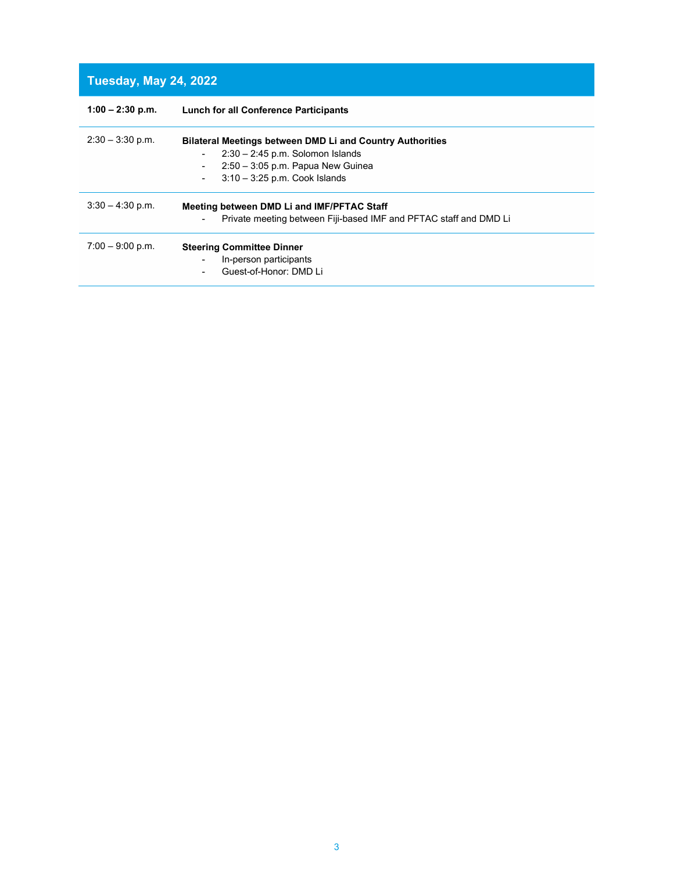## **Tuesday, May 24, 2022**

| <b>Lunch for all Conference Participants</b>                                                                                       |
|------------------------------------------------------------------------------------------------------------------------------------|
| <b>Bilateral Meetings between DMD Li and Country Authorities</b><br>$2:30 - 2:45$ p.m. Solomon Islands<br>$\overline{\phantom{a}}$ |
| $2:50 - 3:05$ p.m. Papua New Guinea<br>$\blacksquare$                                                                              |
| $3:10-3:25$ p.m. Cook Islands<br>$\overline{\phantom{a}}$                                                                          |
| Meeting between DMD Li and IMF/PFTAC Staff                                                                                         |
| Private meeting between Fiji-based IMF and PFTAC staff and DMD Li<br>$\blacksquare$                                                |
| <b>Steering Committee Dinner</b>                                                                                                   |
| In-person participants                                                                                                             |
| Guest-of-Honor: DMD Li<br>$\blacksquare$                                                                                           |
|                                                                                                                                    |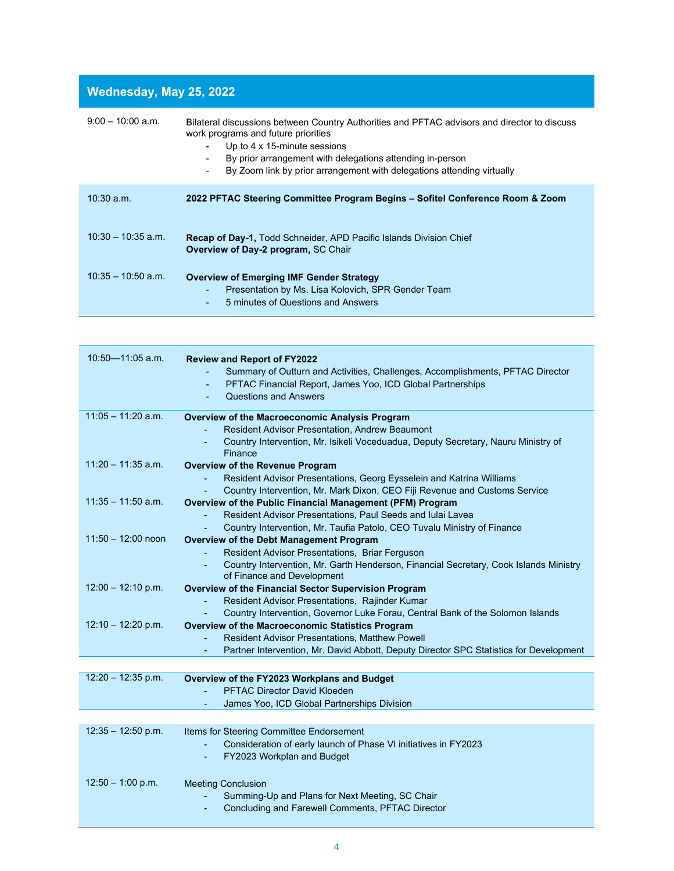## **Wednesday, May 25, 2022**

| $9:00 - 10:00$ a.m.  | Bilateral discussions between Country Authorities and PFTAC advisors and director to discuss<br>work programs and future priorities<br>Up to 4 x 15-minute sessions<br>By prior arrangement with delegations attending in-person<br>۰<br>By Zoom link by prior arrangement with delegations attending virtually<br>٠ |
|----------------------|----------------------------------------------------------------------------------------------------------------------------------------------------------------------------------------------------------------------------------------------------------------------------------------------------------------------|
| $10:30$ a.m.         | 2022 PFTAC Steering Committee Program Begins - Sofitel Conference Room & Zoom                                                                                                                                                                                                                                        |
| $10:30 - 10:35$ a.m. | <b>Recap of Day-1, Todd Schneider, APD Pacific Islands Division Chief</b><br>Overview of Day-2 program, SC Chair                                                                                                                                                                                                     |
| $10:35 - 10:50$ a.m. | <b>Overview of Emerging IMF Gender Strategy</b><br>Presentation by Ms. Lisa Kolovich, SPR Gender Team<br>٠<br>5 minutes of Questions and Answers<br>٠                                                                                                                                                                |
|                      |                                                                                                                                                                                                                                                                                                                      |

| $10:50 - 11:05$ a.m. | <b>Review and Report of FY2022</b><br>Summary of Outturn and Activities, Challenges, Accomplishments, PFTAC Director<br>PFTAC Financial Report, James Yoo, ICD Global Partnerships<br>٠<br><b>Questions and Answers</b> |
|----------------------|-------------------------------------------------------------------------------------------------------------------------------------------------------------------------------------------------------------------------|
| $11:05 - 11:20$ a.m. | Overview of the Macroeconomic Analysis Program                                                                                                                                                                          |
|                      | <b>Resident Advisor Presentation, Andrew Beaumont</b>                                                                                                                                                                   |
|                      | Country Intervention, Mr. Isikeli Voceduadua, Deputy Secretary, Nauru Ministry of<br>Finance                                                                                                                            |
| $11:20 - 11:35$ a.m. | <b>Overview of the Revenue Program</b>                                                                                                                                                                                  |
|                      | Resident Advisor Presentations, Georg Eysselein and Katrina Williams                                                                                                                                                    |
|                      | Country Intervention, Mr. Mark Dixon, CEO Fiji Revenue and Customs Service                                                                                                                                              |
| $11:35 - 11:50$ a.m. | Overview of the Public Financial Management (PFM) Program                                                                                                                                                               |
|                      | Resident Advisor Presentations, Paul Seeds and Iulai Lavea                                                                                                                                                              |
|                      | Country Intervention, Mr. Taufia Patolo, CEO Tuvalu Ministry of Finance                                                                                                                                                 |
| $11:50 - 12:00$ noon | <b>Overview of the Debt Management Program</b>                                                                                                                                                                          |
|                      | Resident Advisor Presentations, Briar Ferguson                                                                                                                                                                          |
|                      | Country Intervention, Mr. Garth Henderson, Financial Secretary, Cook Islands Ministry<br>$\blacksquare$                                                                                                                 |
|                      | of Finance and Development                                                                                                                                                                                              |
| $12:00 - 12:10$ p.m. | Overview of the Financial Sector Supervision Program                                                                                                                                                                    |
|                      | Resident Advisor Presentations, Rajinder Kumar<br>$\blacksquare$                                                                                                                                                        |
|                      | Country Intervention, Governor Luke Forau, Central Bank of the Solomon Islands<br>÷.                                                                                                                                    |
| $12:10 - 12:20$ p.m. | Overview of the Macroeconomic Statistics Program                                                                                                                                                                        |
|                      | <b>Resident Advisor Presentations, Matthew Powell</b><br>÷,                                                                                                                                                             |
|                      | Partner Intervention, Mr. David Abbott, Deputy Director SPC Statistics for Development<br>$\overline{\phantom{a}}$                                                                                                      |
|                      |                                                                                                                                                                                                                         |
| $12:20 - 12:35$ p.m. | Overview of the FY2023 Workplans and Budget                                                                                                                                                                             |
|                      | <b>PFTAC Director David Kloeden</b><br>÷.                                                                                                                                                                               |
|                      | James Yoo, ICD Global Partnerships Division                                                                                                                                                                             |
|                      |                                                                                                                                                                                                                         |
| $12:35 - 12:50$ p.m. | Items for Steering Committee Endorsement                                                                                                                                                                                |
|                      | Consideration of early launch of Phase VI initiatives in FY2023                                                                                                                                                         |
|                      | FY2023 Workplan and Budget                                                                                                                                                                                              |
| $12:50 - 1:00$ p.m.  |                                                                                                                                                                                                                         |
|                      | <b>Meeting Conclusion</b>                                                                                                                                                                                               |
|                      | Summing-Up and Plans for Next Meeting, SC Chair<br>÷.                                                                                                                                                                   |
|                      | Concluding and Farewell Comments, PFTAC Director                                                                                                                                                                        |